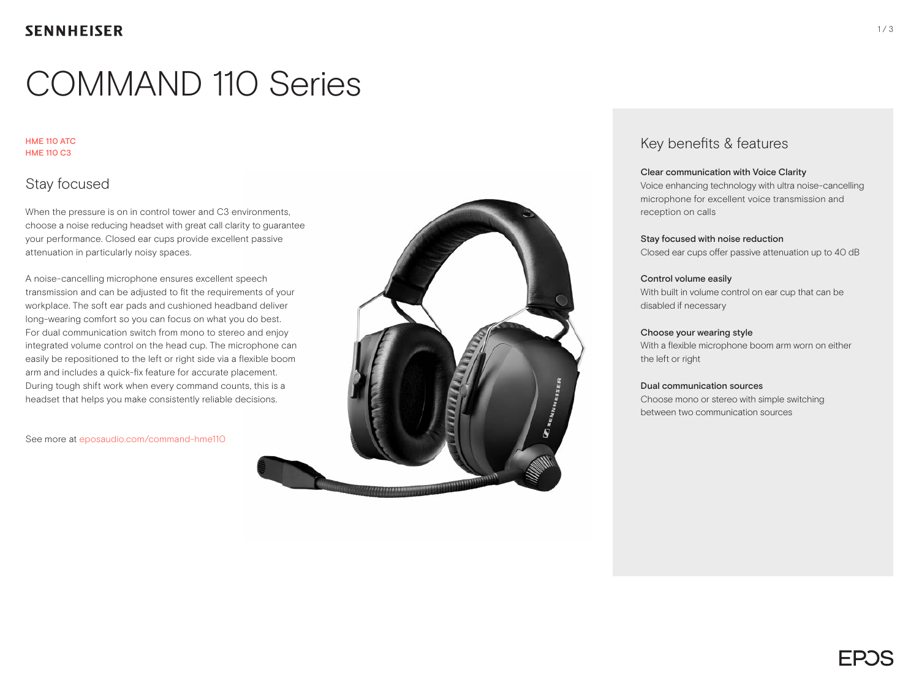# COMMAND 110 Series

#### HME 110 ATC HME 110 C3

## Stay focused

When the pressure is on in control tower and C3 environments. choose a noise reducing headset with great call clarity to guarantee your performance. Closed ear cups provide excellent passive attenuation in particularly noisy spaces.

A noise-cancelling microphone ensures excellent speech transmission and can be adjusted to fit the requirements of your workplace. The soft ear pads and cushioned headband deliver long-wearing comfort so you can focus on what you do best. For dual communication switch from mono to stereo and enjoy integrated volume control on the head cup. The microphone can easily be repositioned to the left or right side via a flexible boom arm and includes a quick-fix feature for accurate placement. During tough shift work when every command counts, this is a headset that helps you make consistently reliable decisions.

See more at eposaudio.com/command-hme110



### Key benefits & features

#### Clear communication with Voice Clarity

Voice enhancing technology with ultra noise-cancelling microphone for excellent voice transmission and reception on calls

#### Stay focused with noise reduction

Closed ear cups offer passive attenuation up to 40 dB

#### Control volume easily

With built in volume control on ear cup that can be disabled if necessary

#### Choose your wearing style

With a flexible microphone boom arm worn on either the left or right

#### Dual communication sources

Choose mono or stereo with simple switching between two communication sources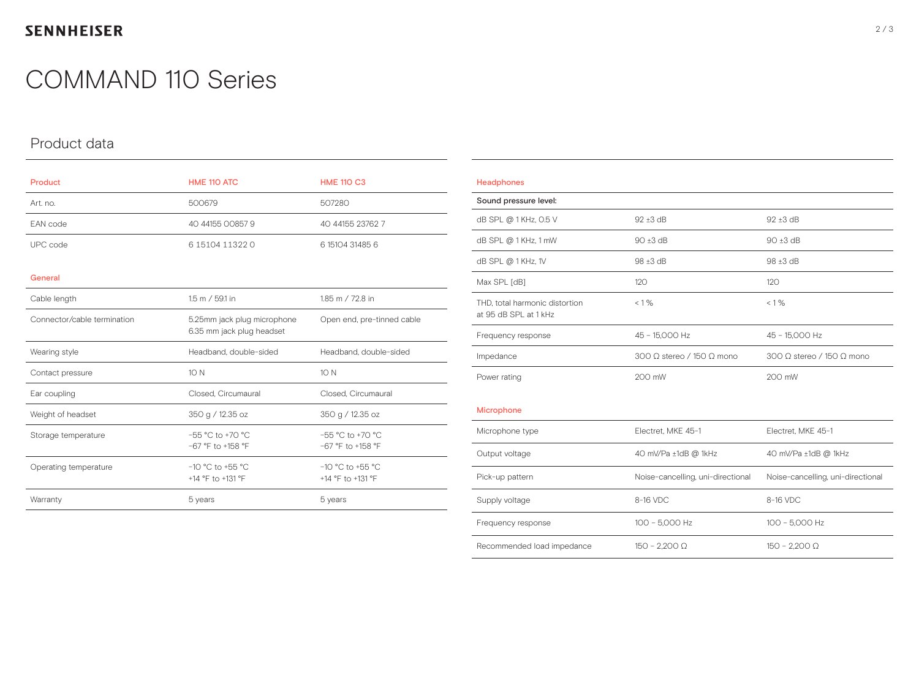## **SENNHEISER**

## COMMAND 110 Series

## Product data

| Product                     | HME 110 ATC                                              | <b>HME 110 C3</b>                           |
|-----------------------------|----------------------------------------------------------|---------------------------------------------|
| Art. no.                    | 500679                                                   | 507280                                      |
| EAN code                    | 40 44155 00857 9                                         | 40 44155 23762 7                            |
| UPC code                    | 6 15104 11322 0                                          | 6 15104 31485 6                             |
| General                     |                                                          |                                             |
| Cable length                | 1.5 m / 59.1 in                                          | 1.85 m / 72.8 in                            |
| Connector/cable termination | 5.25mm jack plug microphone<br>6.35 mm jack plug headset | Open end, pre-tinned cable                  |
| Wearing style               | Headband, double-sided                                   | Headband, double-sided                      |
| Contact pressure            | 10 N                                                     | 10 N                                        |
| Ear coupling                | Closed, Circumaural                                      | Closed, Circumaural                         |
| Weight of headset           | 350 g / 12.35 oz                                         | 350 g / 12.35 oz                            |
| Storage temperature         | $-55 °C$ to $+70 °C$<br>$-67$ °F to +158 °F              | $-55 °C$ to $+70 °C$<br>$-67$ °F to +158 °F |
| Operating temperature       | $-10$ °C to +55 °C<br>+14 °F to +131 °F                  | $-10$ °C to +55 °C<br>+14 °F to +131 °F     |
| Warranty                    | 5 years                                                  | 5 years                                     |

| Headphones                                              |                                   |                                         |
|---------------------------------------------------------|-----------------------------------|-----------------------------------------|
| Sound pressure level:                                   |                                   |                                         |
| dB SPL @ 1KHz, 0.5 V                                    | $92 \pm 3$ dB                     | $92 \pm 3$ dB                           |
| dB SPL @ 1 KHz, 1 mW                                    | $90 \pm 3$ dB                     | $90 \pm 3$ dB                           |
| dB SPL @ 1KHz, 1V                                       | 98 ±3 dB                          | $98 \pm 3$ dB                           |
| Max SPL [dB]                                            | 120                               | 120                                     |
| THD, total harmonic distortion<br>at 95 dB SPL at 1 kHz | $< 1\%$                           | $< 1\%$                                 |
| Frequency response                                      | 45 - 15,000 Hz                    | 45 - 15,000 Hz                          |
| Impedance                                               | 300 O stereo / 150 O mono         | 300 $\Omega$ stereo / 150 $\Omega$ mono |
| Power rating                                            | 200 mW                            | 200 mW                                  |
| Microphone                                              |                                   |                                         |
| Microphone type                                         | Electret, MKE 45-1                | Electret, MKE 45-1                      |
| Output voltage                                          | 40 mV/Pa ±1dB @ 1kHz              | 40 mV/Pa ±1dB @ 1kHz                    |
| Pick-up pattern                                         | Noise-cancelling, uni-directional | Noise-cancelling, uni-directional       |
| Supply voltage                                          | 8-16 VDC                          | 8-16 VDC                                |
| Frequency response                                      | 100 - 5,000 Hz                    | 100 - 5,000 Hz                          |
| Recommended load impedance                              | $150 - 2.200 \Omega$              | $150 - 2.200 \Omega$                    |